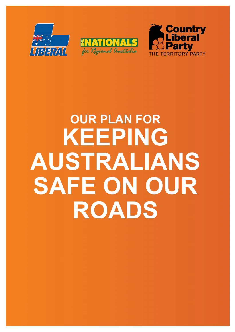





# **OUR PLAN FOR KEEPING AUSTRALIANS SAFE ON OUR ROADS**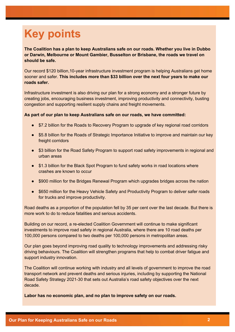# **Key points**

**The Coalition has a plan to keep Australians safe on our roads. Whether you live in Dubbo or Darwin, Melbourne or Mount Gambier, Busselton or Brisbane, the roads we travel on should be safe.**

Our record \$120 billion,10-year infrastructure investment program is helping Australians get home sooner and safer. **This includes more than \$33 billion over the next four years to make our roads safer.**

Infrastructure investment is also driving our plan for a strong economy and a stronger future by creating jobs, encouraging business investment, improving productivity and connectivity, busting congestion and supporting resilient supply chains and freight movements.

#### **As part of our plan to keep Australians safe on our roads, we have committed:**

- \$7.2 billion for the Roads to Recovery Program to upgrade of key regional road corridors
- \$5.8 billion for the Roads of Strategic Importance Initiative to improve and maintain our key freight corridors
- \$3 billion for the Road Safety Program to support road safety improvements in regional and urban areas
- \$1.3 billion for the Black Spot Program to fund safety works in road locations where crashes are known to occur
- \$900 million for the Bridges Renewal Program which upgrades bridges across the nation
- \$650 million for the Heavy Vehicle Safety and Productivity Program to deliver safer roads for trucks and improve productivity.

Road deaths as a proportion of the population fell by 35 per cent over the last decade. But there is more work to do to reduce fatalities and serious accidents.

Building on our record, a re-elected Coalition Government will continue to make significant investments to improve road safety in regional Australia, where there are 10 road deaths per 100,000 persons compared to two deaths per 100,000 persons in metropolitan areas.

Our plan goes beyond improving road quality to technology improvements and addressing risky driving behaviours. The Coalition will strengthen programs that help to combat driver fatigue and support industry innovation.

The Coalition will continue working with industry and all levels of government to improve the road transport network and prevent deaths and serious injuries, including by supporting the National Road Safety Strategy 2021-30 that sets out Australia's road safety objectives over the next decade.

**Labor has no economic plan, and no plan to improve safety on our roads.**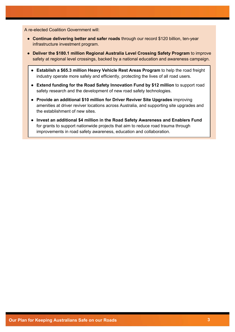A re-elected Coalition Government will:

- **Continue delivering better and safer roads** through our record \$120 billion, ten-year infrastructure investment program.
- **Deliver the \$180.1 million Regional Australia Level Crossing Safety Program** to improve safety at regional level crossings, backed by a national education and awareness campaign.
	- **Establish a \$65.3 million Heavy Vehicle Rest Areas Program** to help the road freight industry operate more safely and efficiently, protecting the lives of all road users.
	- **Extend funding for the Road Safety Innovation Fund by \$12 million** to support road safety research and the development of new road safety technologies.
	- **Provide an additional \$10 million for Driver Reviver Site Upgrades** improving amenities at driver reviver locations across Australia, and supporting site upgrades and the establishment of new sites.
	- **Invest an additional \$4 million in the Road Safety Awareness and Enablers Fund** for grants to support nationwide projects that aim to reduce road trauma through improvements in road safety awareness, education and collaboration.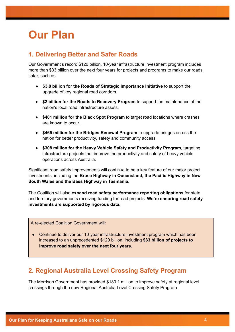# **Our Plan**

#### **1. Delivering Better and Safer Roads**

Our Government's record \$120 billion, 10-year infrastructure investment program includes more than \$33 billion over the next four years for projects and programs to make our roads safer, such as:

- **\$3.8 billion for the Roads of Strategic Importance Initiative** to support the upgrade of key regional road corridors.
- **\$2 billion for the Roads to Recovery Program** to support the maintenance of the nation's local road infrastructure assets.
- **\$481 million for the Black Spot Program** to target road locations where crashes are known to occur.
- **\$465 million for the Bridges Renewal Program** to upgrade bridges across the nation for better productivity, safety and community access.
- **\$308 million for the Heavy Vehicle Safety and Productivity Program,** targeting infrastructure projects that improve the productivity and safety of heavy vehicle operations across Australia.

Significant road safety improvements will continue to be a key feature of our major project investments, including the **Bruce Highway in Queensland, the Pacific Highway in New South Wales and the Bass Highway in Tasmania.**

The Coalition will also **expand road safety performance reporting obligations** for state and territory governments receiving funding for road projects. **We're ensuring road safety investments are supported by rigorous data.**

A re-elected Coalition Government will:

• Continue to deliver our 10-year infrastructure investment program which has been increased to an unprecedented \$120 billion, including **\$33 billion of projects to improve road safety over the next four years.**

#### **2. Regional Australia Level Crossing Safety Program**

The Morrison Government has provided \$180.1 million to improve safety at regional level crossings through the new Regional Australia Level Crossing Safety Program.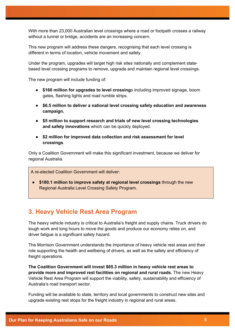With more than 23,000 Australian level crossings where a road or footpath crosses a railway without a tunnel or bridge, accidents are an increasing concern.

This new program will address these dangers, recognising that each level crossing is different in terms of location, vehicle movement and safety.

Under the program, upgrades will target high risk sites nationally and complement statebased level crossing programs to remove, upgrade and maintain regional level crossings.

The new program will include funding of:

- **\$160 million for upgrades to level crossing**s including improved signage, boom gates, flashing lights and road rumble strips.
- **\$6.5 million to deliver a national level crossing safety education and awareness campaign.**
- **\$5 million to support research and trials of new level crossing technologies and safety innovations** which can be quickly deployed.
- **\$2 million for improved data collection and risk assessment for level crossings**.

Only a Coalition Government will make this significant investment, because we deliver for regional Australia.

A re-elected Coalition Government will deliver:

● **\$180.1 million to improve safety at regional level crossings** through the new Regional Australia Level Crossing Safety Program.

#### **3. Heavy Vehicle Rest Area Program**

The heavy vehicle industry is critical to Australia's freight and supply chains. Truck drivers do tough work and long hours to move the goods and produce our economy relies on, and driver fatigue is a significant safety hazard.

The Morrison Government understands the importance of heavy vehicle rest areas and their role supporting the health and wellbeing of drivers, as well as the safety and efficiency of freight operations.

**The Coalition Government will invest \$65.3 million in heavy vehicle rest areas to provide more and improved rest facilities on regional and rural roads.** The new Heavy Vehicle Rest Area Program will support the viability, safety, sustainability and efficiency of Australia's road transport sector.

Funding will be available to state, territory and local governments to construct new sites and upgrade existing rest stops for the freight industry in regional and rural areas.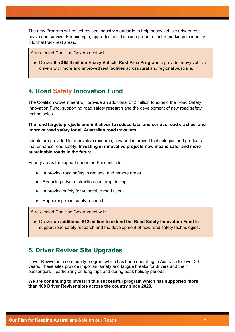The new Program will reflect revised industry standards to help heavy vehicle drivers rest, revive and survive. For example, upgrades could include green reflector markings to identify informal truck rest areas.

A re-elected Coalition Government will:

● Deliver the **\$65.3 million Heavy Vehicle Rest Area Program** to provide heavy vehicle drivers with more and improved rest facilities across rural and regional Australia.

#### **4. Road Safety Innovation Fund**

The Coalition Government will provide an additional \$12 million to extend the Road Safety Innovation Fund, supporting road safety research and the development of new road safety technologies.

**The fund targets projects and initiatives to reduce fatal and serious road crashes, and improve road safety for all Australian road travellers.**

Grants are provided for innovative research, new and improved technologies and products that enhance road safety. **Investing in innovative projects now means safer and more sustainable roads in the future.**

Priority areas for support under the Fund include:

- Improving road safety in regional and remote areas.
- Reducing driver distraction and drug driving.
- Improving safety for vulnerable road users.
- Supporting road safety research.

A re-elected Coalition Government will:

● Deliver **an additional \$12 million to extend the Road Safety Innovation Fund** to support road safety research and the development of new road safety technologies.

#### **5. Driver Reviver Site Upgrades**

Driver Reviver is a community program which has been operating in Australia for over 30 years. These sites provide important safety and fatigue breaks for drivers and their passengers – particularly on long trips and during peak holiday periods.

**We are continuing to invest in this successful program which has supported more than 100 Driver Reviver sites across the country since 2020.**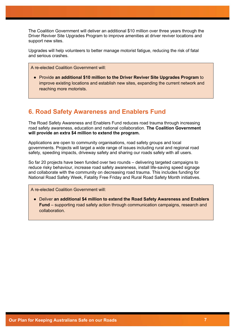The Coalition Government will deliver an additional \$10 million over three years through the Driver Reviver Site Upgrades Program to improve amenities at driver reviver locations and support new sites.

Upgrades will help volunteers to better manage motorist fatigue, reducing the risk of fatal and serious crashes.

A re-elected Coalition Government will:

● Provide **an additional \$10 million to the Driver Reviver Site Upgrades Program** to improve existing locations and establish new sites, expanding the current network and reaching more motorists.

#### **6. Road Safety Awareness and Enablers Fund**

The Road Safety Awareness and Enablers Fund reduces road trauma through increasing road safety awareness, education and national collaboration. **The Coalition Government will provide an extra \$4 million to extend the program.** 

Applications are open to community organisations, road safety groups and local governments. Projects will target a wide range of issues including rural and regional road safety, speeding impacts, driveway safety and sharing our roads safely with all users.

So far 20 projects have been funded over two rounds – delivering targeted campaigns to reduce risky behaviour, increase road safety awareness, install life-saving speed signage and collaborate with the community on decreasing road trauma. This includes funding for National Road Safety Week, Fatality Free Friday and Rural Road Safety Month initiatives.

A re-elected Coalition Government will:

● Deliver **an additional \$4 million to extend the Road Safety Awareness and Enablers Fund** – supporting road safety action through communication campaigns, research and collaboration.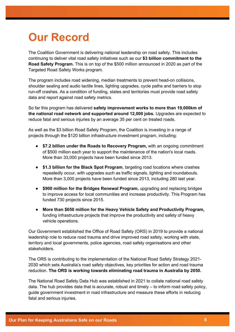### **Our Record**

The Coalition Government is delivering national leadership on road safety. This includes continuing to deliver vital road safety initiatives such as our **\$3 billion commitment to the Road Safety Program.** This is on top of the \$500 million announced in 2020 as part of the Targeted Road Safety Works program.

The program includes road widening, median treatments to prevent head-on collisions, shoulder sealing and audio tactile lines, lighting upgrades, cycle paths and barriers to stop run-off crashes. As a condition of funding, states and territories must provide road safety data and report against road safety metrics.

So far this program has delivered **safety improvement works to more than 19,000km of the national road network and supported around 12,000 jobs.** Upgrades are expected to reduce fatal and serious injuries by an average 35 per cent on treated roads.

As well as the \$3 billion Road Safety Program, the Coalition is investing in a range of projects through the \$120 billion infrastructure investment program, including:

- **\$7.2 billion under the Roads to Recovery Program,** with an ongoing commitment of \$500 million each year to support the maintenance of the nation's local roads. More than 33,000 projects have been funded since 2013.
- **\$1.3 billion for the Black Spot Program**, targeting road locations where crashes repeatedly occur, with upgrades such as traffic signals, lighting and roundabouts. More than 3,000 projects have been funded since 2013, including 280 last year.
- **\$900 million for the Bridges Renewal Program,** upgrading and replacing bridges to improve access for local communities and increase productivity. This Program has funded 730 projects since 2015.
- **More than \$650 million for the Heavy Vehicle Safety and Productivity Program,**  funding infrastructure projects that improve the productivity and safety of heavy vehicle operations.

Our Government established the Office of Road Safety (ORS) in 2019 to provide a national leadership role to reduce road trauma and drive improved road safety, working with state, territory and local governments, police agencies, road safety organisations and other stakeholders.

The ORS is contributing to the implementation of the National Road Safety Strategy 2021- 2030 which sets Australia's road safety objectives, key priorities for action and road trauma reduction. **The ORS is working towards eliminating road trauma in Australia by 2050.** 

The National Road Safety Data Hub was established in 2021 to collate national road safety data. The hub provides data that is accurate, robust and timely – to inform road safety policy, guide government investment in road infrastructure and measure these efforts in reducing fatal and serious injuries.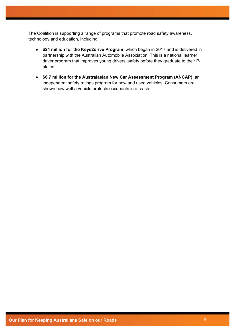The Coalition is supporting a range of programs that promote road safety awareness, technology and education, including:

- **\$24 million for the Keys2drive Program**, which began in 2017 and is delivered in partnership with the Australian Automobile Association. This is a national learner driver program that improves young drivers' safety before they graduate to their Pplates.
- **\$6.7 million for the Australasian New Car Assessment Program (ANCAP)**, an independent safety ratings program for new and used vehicles. Consumers are shown how well a vehicle protects occupants in a crash.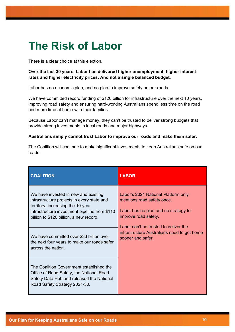# **The Risk of Labor**

There is a clear choice at this election.

#### **Over the last 30 years, Labor has delivered higher unemployment, higher interest rates and higher electricity prices. And not a single balanced budget.**

Labor has no economic plan, and no plan to improve safety on our roads.

We have committed record funding of \$120 billion for infrastructure over the next 10 years, improving road safety and ensuring hard-working Australians spend less time on the road and more time at home with their families.

Because Labor can't manage money, they can't be trusted to deliver strong budgets that provide strong investments in local roads and major highways.

#### **Australians simply cannot trust Labor to improve our roads and make them safer.**

The Coalition will continue to make significant investments to keep Australians safe on our roads.

| <b>COALITION</b>                                                                                                                                                                                                                                                                                                                     | <b>LABOR</b>                                                                                                                                                                                                                                   |
|--------------------------------------------------------------------------------------------------------------------------------------------------------------------------------------------------------------------------------------------------------------------------------------------------------------------------------------|------------------------------------------------------------------------------------------------------------------------------------------------------------------------------------------------------------------------------------------------|
| We have invested in new and existing<br>infrastructure projects in every state and<br>territory, increasing the 10-year<br>infrastructure investment pipeline from \$110<br>billion to \$120 billion, a new record.<br>We have committed over \$33 billion over<br>the next four years to make our roads safer<br>across the nation. | Labor's 2021 National Platform only<br>mentions road safety once.<br>Labor has no plan and no strategy to<br>improve road safety.<br>Labor can't be trusted to deliver the<br>infrastructure Australians need to get home<br>sooner and safer. |
| The Coalition Government established the<br>Office of Road Safety, the National Road<br>Safety Data Hub and released the National<br>Road Safety Strategy 2021-30.                                                                                                                                                                   |                                                                                                                                                                                                                                                |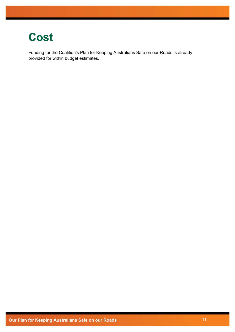### **Cost**

Funding for the Coalition's Plan for Keeping Australians Safe on our Roads is already provided for within budget estimates.